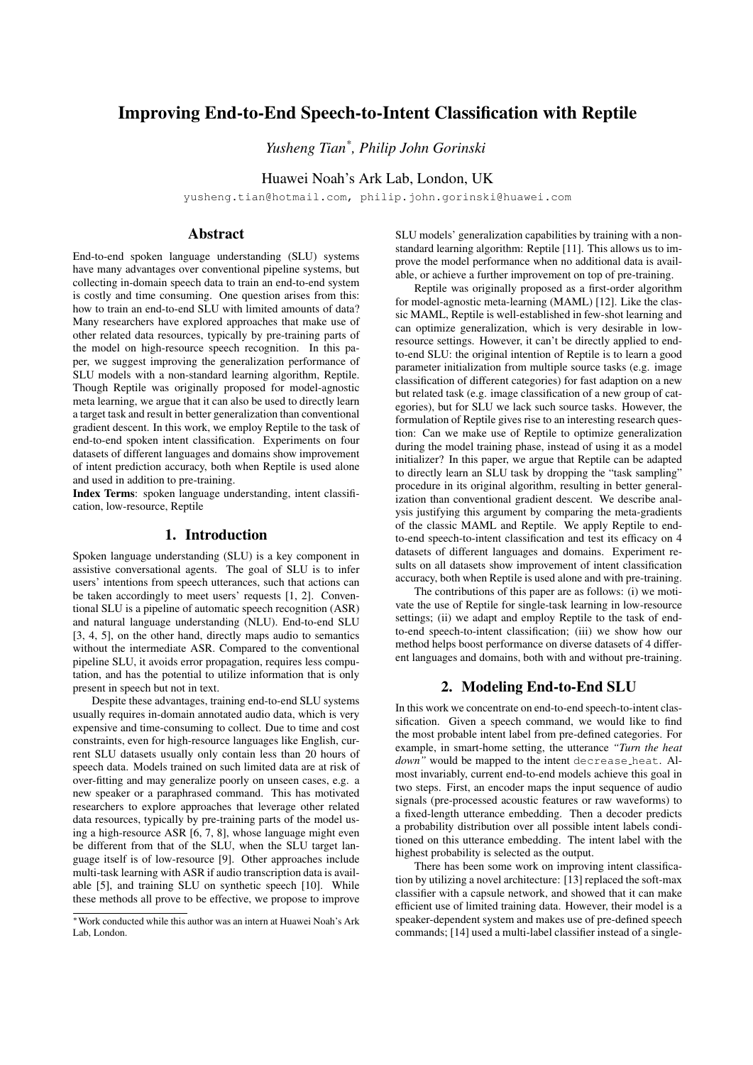# Improving End-to-End Speech-to-Intent Classification with Reptile

*Yusheng Tian\* , Philip John Gorinski*

Huawei Noah's Ark Lab, London, UK

yusheng.tian@hotmail.com, philip.john.gorinski@huawei.com

# Abstract

End-to-end spoken language understanding (SLU) systems have many advantages over conventional pipeline systems, but collecting in-domain speech data to train an end-to-end system is costly and time consuming. One question arises from this: how to train an end-to-end SLU with limited amounts of data? Many researchers have explored approaches that make use of other related data resources, typically by pre-training parts of the model on high-resource speech recognition. In this paper, we suggest improving the generalization performance of SLU models with a non-standard learning algorithm, Reptile. Though Reptile was originally proposed for model-agnostic meta learning, we argue that it can also be used to directly learn a target task and result in better generalization than conventional gradient descent. In this work, we employ Reptile to the task of end-to-end spoken intent classification. Experiments on four datasets of different languages and domains show improvement of intent prediction accuracy, both when Reptile is used alone and used in addition to pre-training.

Index Terms: spoken language understanding, intent classification, low-resource, Reptile

# 1. Introduction

Spoken language understanding (SLU) is a key component in assistive conversational agents. The goal of SLU is to infer users' intentions from speech utterances, such that actions can be taken accordingly to meet users' requests [1, 2]. Conventional SLU is a pipeline of automatic speech recognition (ASR) and natural language understanding (NLU). End-to-end SLU [3, 4, 5], on the other hand, directly maps audio to semantics without the intermediate ASR. Compared to the conventional pipeline SLU, it avoids error propagation, requires less computation, and has the potential to utilize information that is only present in speech but not in text.

Despite these advantages, training end-to-end SLU systems usually requires in-domain annotated audio data, which is very expensive and time-consuming to collect. Due to time and cost constraints, even for high-resource languages like English, current SLU datasets usually only contain less than 20 hours of speech data. Models trained on such limited data are at risk of over-fitting and may generalize poorly on unseen cases, e.g. a new speaker or a paraphrased command. This has motivated researchers to explore approaches that leverage other related data resources, typically by pre-training parts of the model using a high-resource ASR [6, 7, 8], whose language might even be different from that of the SLU, when the SLU target language itself is of low-resource [9]. Other approaches include multi-task learning with ASR if audio transcription data is available [5], and training SLU on synthetic speech [10]. While these methods all prove to be effective, we propose to improve SLU models' generalization capabilities by training with a nonstandard learning algorithm: Reptile [11]. This allows us to improve the model performance when no additional data is available, or achieve a further improvement on top of pre-training.

Reptile was originally proposed as a first-order algorithm for model-agnostic meta-learning (MAML) [12]. Like the classic MAML, Reptile is well-established in few-shot learning and can optimize generalization, which is very desirable in lowresource settings. However, it can't be directly applied to endto-end SLU: the original intention of Reptile is to learn a good parameter initialization from multiple source tasks (e.g. image classification of different categories) for fast adaption on a new but related task (e.g. image classification of a new group of categories), but for SLU we lack such source tasks. However, the formulation of Reptile gives rise to an interesting research question: Can we make use of Reptile to optimize generalization during the model training phase, instead of using it as a model initializer? In this paper, we argue that Reptile can be adapted to directly learn an SLU task by dropping the "task sampling" procedure in its original algorithm, resulting in better generalization than conventional gradient descent. We describe analysis justifying this argument by comparing the meta-gradients of the classic MAML and Reptile. We apply Reptile to endto-end speech-to-intent classification and test its efficacy on 4 datasets of different languages and domains. Experiment results on all datasets show improvement of intent classification accuracy, both when Reptile is used alone and with pre-training.

The contributions of this paper are as follows: (i) we motivate the use of Reptile for single-task learning in low-resource settings; (ii) we adapt and employ Reptile to the task of endto-end speech-to-intent classification; (iii) we show how our method helps boost performance on diverse datasets of 4 different languages and domains, both with and without pre-training.

# 2. Modeling End-to-End SLU

In this work we concentrate on end-to-end speech-to-intent classification. Given a speech command, we would like to find the most probable intent label from pre-defined categories. For example, in smart-home setting, the utterance *"Turn the heat* down" would be mapped to the intent decrease heat. Almost invariably, current end-to-end models achieve this goal in two steps. First, an encoder maps the input sequence of audio signals (pre-processed acoustic features or raw waveforms) to a fixed-length utterance embedding. Then a decoder predicts a probability distribution over all possible intent labels conditioned on this utterance embedding. The intent label with the highest probability is selected as the output.

There has been some work on improving intent classification by utilizing a novel architecture: [13] replaced the soft-max classifier with a capsule network, and showed that it can make efficient use of limited training data. However, their model is a speaker-dependent system and makes use of pre-defined speech commands; [14] used a multi-label classifier instead of a single-

<sup>∗</sup>Work conducted while this author was an intern at Huawei Noah's Ark Lab, London.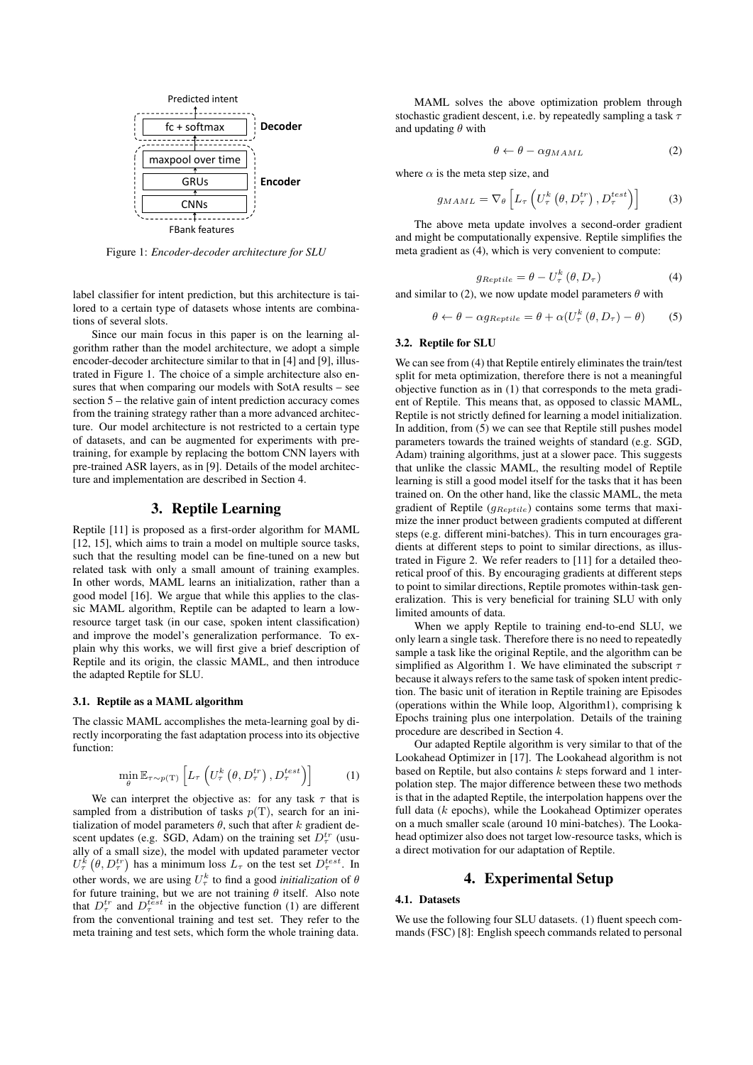

Figure 1: *Encoder-decoder architecture for SLU*

label classifier for intent prediction, but this architecture is tailored to a certain type of datasets whose intents are combinations of several slots.

Since our main focus in this paper is on the learning algorithm rather than the model architecture, we adopt a simple encoder-decoder architecture similar to that in [4] and [9], illustrated in Figure 1. The choice of a simple architecture also ensures that when comparing our models with SotA results – see section 5 – the relative gain of intent prediction accuracy comes from the training strategy rather than a more advanced architecture. Our model architecture is not restricted to a certain type of datasets, and can be augmented for experiments with pretraining, for example by replacing the bottom CNN layers with pre-trained ASR layers, as in [9]. Details of the model architecture and implementation are described in Section 4.

# 3. Reptile Learning

Reptile [11] is proposed as a first-order algorithm for MAML [12, 15], which aims to train a model on multiple source tasks, such that the resulting model can be fine-tuned on a new but related task with only a small amount of training examples. In other words, MAML learns an initialization, rather than a good model [16]. We argue that while this applies to the classic MAML algorithm, Reptile can be adapted to learn a lowresource target task (in our case, spoken intent classification) and improve the model's generalization performance. To explain why this works, we will first give a brief description of Reptile and its origin, the classic MAML, and then introduce the adapted Reptile for SLU.

#### 3.1. Reptile as a MAML algorithm

The classic MAML accomplishes the meta-learning goal by directly incorporating the fast adaptation process into its objective function:

$$
\min_{\theta} \mathbb{E}_{\tau \sim p(\text{T})} \left[ L_{\tau} \left( U_{\tau}^{k} \left( \theta, D_{\tau}^{tr} \right), D_{\tau}^{test} \right) \right] \tag{1}
$$

We can interpret the objective as: for any task  $\tau$  that is sampled from a distribution of tasks  $p(T)$ , search for an initialization of model parameters  $\theta$ , such that after k gradient descent updates (e.g. SGD, Adam) on the training set  $D_{\tau}^{tr}$  (usually of a small size), the model with updated parameter vector  $U_{\tau}^{k}(\theta, D_{\tau}^{tr})$  has a minimum loss  $L_{\tau}$  on the test set  $D_{\tau}^{test}$ . In other words, we are using  $U^k_\tau$  to find a good *initialization* of  $\theta$ for future training, but we are not training  $\theta$  itself. Also note that  $D_{\tau}^{tr}$  and  $D_{\tau}^{test}$  in the objective function (1) are different from the conventional training and test set. They refer to the meta training and test sets, which form the whole training data.

MAML solves the above optimization problem through stochastic gradient descent, i.e. by repeatedly sampling a task  $\tau$ and updating  $\theta$  with

$$
\theta \leftarrow \theta - \alpha g_{MAML} \tag{2}
$$

where  $\alpha$  is the meta step size, and

$$
g_{MAML} = \nabla_{\theta} \left[ L_{\tau} \left( U_{\tau}^{k} \left( \theta, D_{\tau}^{tr} \right), D_{\tau}^{test} \right) \right]
$$
 (3)

The above meta update involves a second-order gradient and might be computationally expensive. Reptile simplifies the meta gradient as (4), which is very convenient to compute:

$$
g_{Reptide} = \theta - U_{\tau}^{k} \left( \theta, D_{\tau} \right) \tag{4}
$$

and similar to (2), we now update model parameters  $\theta$  with

$$
\theta \leftarrow \theta - \alpha g_{Reptide} = \theta + \alpha (U_{\tau}^{k}(\theta, D_{\tau}) - \theta) \tag{5}
$$

### 3.2. Reptile for SLU

We can see from (4) that Reptile entirely eliminates the train/test split for meta optimization, therefore there is not a meaningful objective function as in (1) that corresponds to the meta gradient of Reptile. This means that, as opposed to classic MAML, Reptile is not strictly defined for learning a model initialization. In addition, from (5) we can see that Reptile still pushes model parameters towards the trained weights of standard (e.g. SGD, Adam) training algorithms, just at a slower pace. This suggests that unlike the classic MAML, the resulting model of Reptile learning is still a good model itself for the tasks that it has been trained on. On the other hand, like the classic MAML, the meta gradient of Reptile ( $g_{Reptide}$ ) contains some terms that maximize the inner product between gradients computed at different steps (e.g. different mini-batches). This in turn encourages gradients at different steps to point to similar directions, as illustrated in Figure 2. We refer readers to [11] for a detailed theoretical proof of this. By encouraging gradients at different steps to point to similar directions, Reptile promotes within-task generalization. This is very beneficial for training SLU with only limited amounts of data.

When we apply Reptile to training end-to-end SLU, we only learn a single task. Therefore there is no need to repeatedly sample a task like the original Reptile, and the algorithm can be simplified as Algorithm 1. We have eliminated the subscript  $\tau$ because it always refers to the same task of spoken intent prediction. The basic unit of iteration in Reptile training are Episodes (operations within the While loop, Algorithm1), comprising k Epochs training plus one interpolation. Details of the training procedure are described in Section 4.

Our adapted Reptile algorithm is very similar to that of the Lookahead Optimizer in [17]. The Lookahead algorithm is not based on Reptile, but also contains  $k$  steps forward and 1 interpolation step. The major difference between these two methods is that in the adapted Reptile, the interpolation happens over the full data  $(k \text{ epochs})$ , while the Lookahead Optimizer operates on a much smaller scale (around 10 mini-batches). The Lookahead optimizer also does not target low-resource tasks, which is a direct motivation for our adaptation of Reptile.

# 4. Experimental Setup

### 4.1. Datasets

We use the following four SLU datasets. (1) fluent speech commands (FSC) [8]: English speech commands related to personal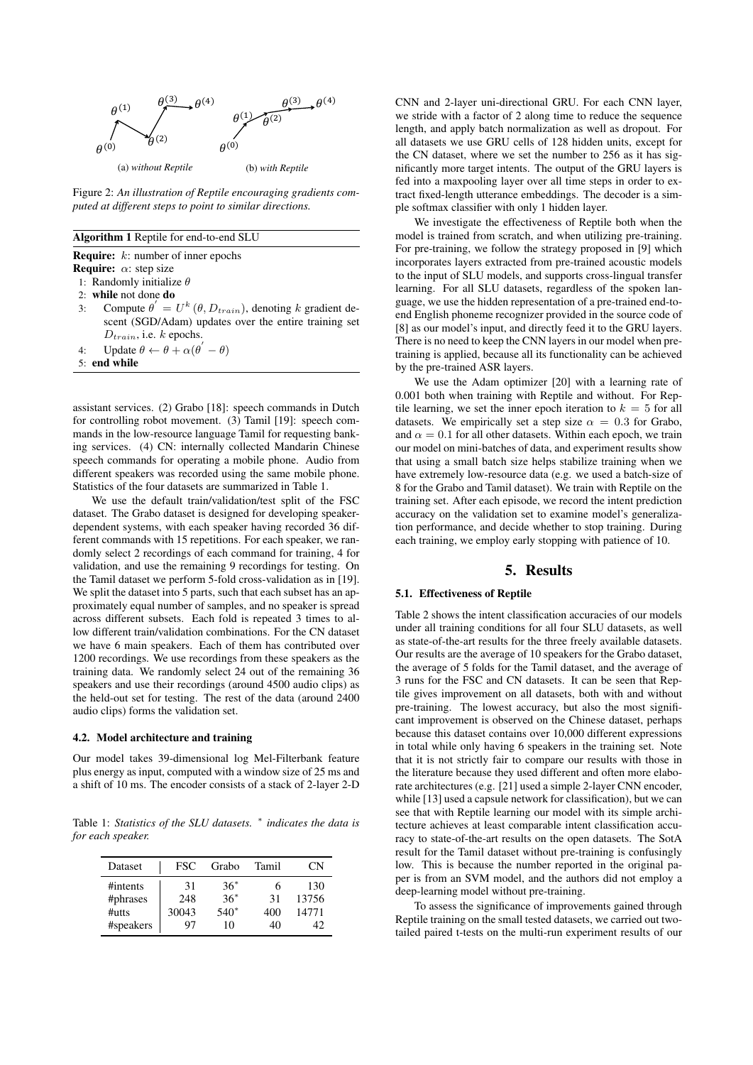

Figure 2: *An illustration of Reptile encouraging gradients computed at different steps to point to similar directions.*

#### Algorithm 1 Reptile for end-to-end SLU

Require: k: number of inner epochs

- **Require:**  $\alpha$ : step size
- 1: Randomly initialize  $\theta$
- 2: while not done do
- 3: Compute  $\theta' = U^k (\theta, D_{train})$ , denoting k gradient descent (SGD/Adam) updates over the entire training set  $D_{train}$ , i.e. k epochs.
- 4: Update  $\theta \leftarrow \theta + \alpha(\theta' \theta)$
- 5: end while

assistant services. (2) Grabo [18]: speech commands in Dutch for controlling robot movement. (3) Tamil [19]: speech commands in the low-resource language Tamil for requesting banking services. (4) CN: internally collected Mandarin Chinese speech commands for operating a mobile phone. Audio from different speakers was recorded using the same mobile phone. Statistics of the four datasets are summarized in Table 1.

We use the default train/validation/test split of the FSC dataset. The Grabo dataset is designed for developing speakerdependent systems, with each speaker having recorded 36 different commands with 15 repetitions. For each speaker, we randomly select 2 recordings of each command for training, 4 for validation, and use the remaining 9 recordings for testing. On the Tamil dataset we perform 5-fold cross-validation as in [19]. We split the dataset into 5 parts, such that each subset has an approximately equal number of samples, and no speaker is spread across different subsets. Each fold is repeated 3 times to allow different train/validation combinations. For the CN dataset we have 6 main speakers. Each of them has contributed over 1200 recordings. We use recordings from these speakers as the training data. We randomly select 24 out of the remaining 36 speakers and use their recordings (around 4500 audio clips) as the held-out set for testing. The rest of the data (around 2400 audio clips) forms the validation set.

### 4.2. Model architecture and training

Our model takes 39-dimensional log Mel-Filterbank feature plus energy as input, computed with a window size of 25 ms and a shift of 10 ms. The encoder consists of a stack of 2-layer 2-D

Table 1: *Statistics of the SLU datasets.* <sup>∗</sup> *indicates the data is for each speaker.*

| Dataset   | FSC   | Grabo  | Tamil | CΝ    |
|-----------|-------|--------|-------|-------|
| #intents  | 31    | $36*$  |       | 130   |
| #phrases  | 248   | $36*$  | 31    | 13756 |
| #utts     | 30043 | $540*$ | 400   | 14771 |
| #speakers | 97    | 10     | 40    | 42    |

CNN and 2-layer uni-directional GRU. For each CNN layer, we stride with a factor of 2 along time to reduce the sequence length, and apply batch normalization as well as dropout. For all datasets we use GRU cells of 128 hidden units, except for the CN dataset, where we set the number to 256 as it has significantly more target intents. The output of the GRU layers is fed into a maxpooling layer over all time steps in order to extract fixed-length utterance embeddings. The decoder is a simple softmax classifier with only 1 hidden layer.

We investigate the effectiveness of Reptile both when the model is trained from scratch, and when utilizing pre-training. For pre-training, we follow the strategy proposed in [9] which incorporates layers extracted from pre-trained acoustic models to the input of SLU models, and supports cross-lingual transfer learning. For all SLU datasets, regardless of the spoken language, we use the hidden representation of a pre-trained end-toend English phoneme recognizer provided in the source code of [8] as our model's input, and directly feed it to the GRU layers. There is no need to keep the CNN layers in our model when pretraining is applied, because all its functionality can be achieved by the pre-trained ASR layers.

We use the Adam optimizer [20] with a learning rate of 0.001 both when training with Reptile and without. For Reptile learning, we set the inner epoch iteration to  $k = 5$  for all datasets. We empirically set a step size  $\alpha = 0.3$  for Grabo, and  $\alpha = 0.1$  for all other datasets. Within each epoch, we train our model on mini-batches of data, and experiment results show that using a small batch size helps stabilize training when we have extremely low-resource data (e.g. we used a batch-size of 8 for the Grabo and Tamil dataset). We train with Reptile on the training set. After each episode, we record the intent prediction accuracy on the validation set to examine model's generalization performance, and decide whether to stop training. During each training, we employ early stopping with patience of 10.

### 5. Results

### 5.1. Effectiveness of Reptile

Table 2 shows the intent classification accuracies of our models under all training conditions for all four SLU datasets, as well as state-of-the-art results for the three freely available datasets. Our results are the average of 10 speakers for the Grabo dataset, the average of 5 folds for the Tamil dataset, and the average of 3 runs for the FSC and CN datasets. It can be seen that Reptile gives improvement on all datasets, both with and without pre-training. The lowest accuracy, but also the most significant improvement is observed on the Chinese dataset, perhaps because this dataset contains over 10,000 different expressions in total while only having 6 speakers in the training set. Note that it is not strictly fair to compare our results with those in the literature because they used different and often more elaborate architectures (e.g. [21] used a simple 2-layer CNN encoder, while [13] used a capsule network for classification), but we can see that with Reptile learning our model with its simple architecture achieves at least comparable intent classification accuracy to state-of-the-art results on the open datasets. The SotA result for the Tamil dataset without pre-training is confusingly low. This is because the number reported in the original paper is from an SVM model, and the authors did not employ a deep-learning model without pre-training.

To assess the significance of improvements gained through Reptile training on the small tested datasets, we carried out twotailed paired t-tests on the multi-run experiment results of our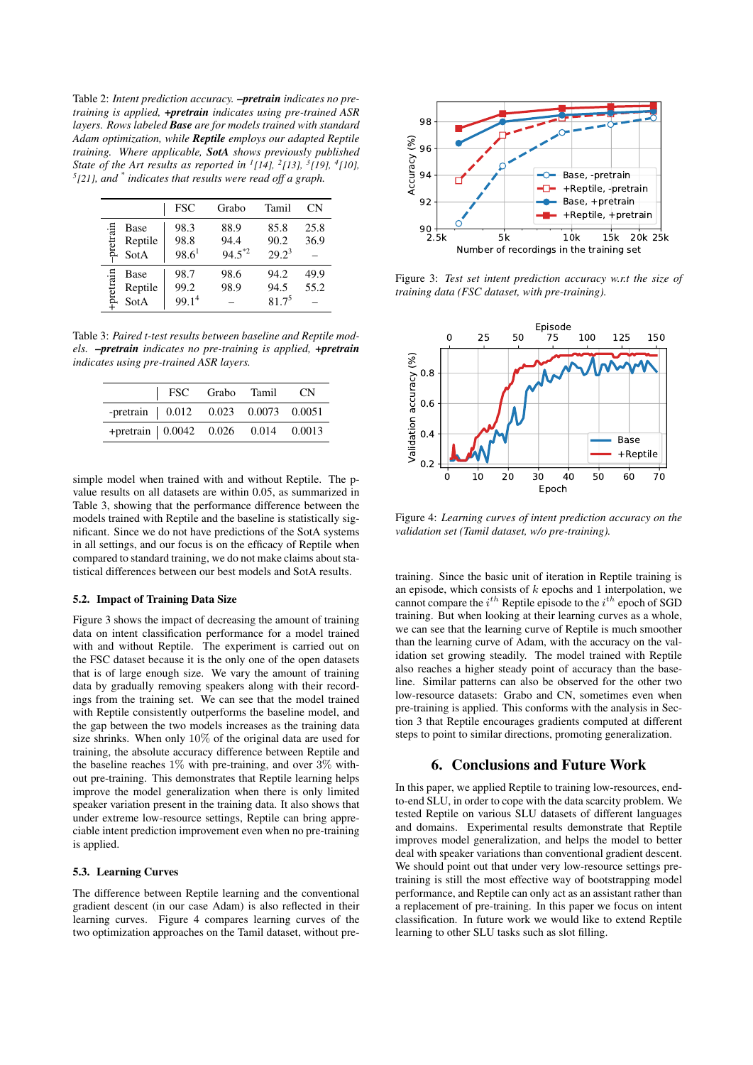Table 2: *Intent prediction accuracy. –pretrain indicates no pretraining is applied, +pretrain indicates using pre-trained ASR layers. Rows labeled Base are for models trained with standard Adam optimization, while Reptile employs our adapted Reptile training. Where applicable, SotA shows previously published State of the Art results as reported in <sup>1</sup> [14], <sup>2</sup> [13], <sup>3</sup> [19], <sup>4</sup> [10], 5 [21], and \* indicates that results were read off a graph.*

|                                      | <b>FSC</b>                        | Grabo                       | Tamil                      | СN           |
|--------------------------------------|-----------------------------------|-----------------------------|----------------------------|--------------|
| pretrain<br>Base<br>Reptile<br>SotA  | 98.3<br>98.8<br>$98.6^1$          | 88.9<br>94.4<br>$94.5^{*2}$ | 85.8<br>90.2<br>$29.2^3$   | 25.8<br>36.9 |
| -pretrain<br>Base<br>Reptile<br>SotA | 98.7<br>99.2<br>99.1 <sup>4</sup> | 98.6<br>98.9                | 94.2<br>94.5<br>$81.7^{5}$ | 49.9<br>55.2 |

Table 3: *Paired t-test results between baseline and Reptile models. –pretrain indicates no pre-training is applied, +pretrain indicates using pre-trained ASR layers.*

|                                       | FSC Grabo Tamil CN |  |  |
|---------------------------------------|--------------------|--|--|
| -pretrain   0.012 0.023 0.0073 0.0051 |                    |  |  |
| +pretrain   0.0042 0.026 0.014 0.0013 |                    |  |  |

simple model when trained with and without Reptile. The pvalue results on all datasets are within 0.05, as summarized in Table 3, showing that the performance difference between the models trained with Reptile and the baseline is statistically significant. Since we do not have predictions of the SotA systems in all settings, and our focus is on the efficacy of Reptile when compared to standard training, we do not make claims about statistical differences between our best models and SotA results.

#### 5.2. Impact of Training Data Size

Figure 3 shows the impact of decreasing the amount of training data on intent classification performance for a model trained with and without Reptile. The experiment is carried out on the FSC dataset because it is the only one of the open datasets that is of large enough size. We vary the amount of training data by gradually removing speakers along with their recordings from the training set. We can see that the model trained with Reptile consistently outperforms the baseline model, and the gap between the two models increases as the training data size shrinks. When only 10% of the original data are used for training, the absolute accuracy difference between Reptile and the baseline reaches  $1\%$  with pre-training, and over  $3\%$  without pre-training. This demonstrates that Reptile learning helps improve the model generalization when there is only limited speaker variation present in the training data. It also shows that under extreme low-resource settings, Reptile can bring appreciable intent prediction improvement even when no pre-training is applied.

#### 5.3. Learning Curves

The difference between Reptile learning and the conventional gradient descent (in our case Adam) is also reflected in their learning curves. Figure 4 compares learning curves of the two optimization approaches on the Tamil dataset, without pre-



Figure 3: *Test set intent prediction accuracy w.r.t the size of training data (FSC dataset, with pre-training).*



Figure 4: *Learning curves of intent prediction accuracy on the validation set (Tamil dataset, w/o pre-training).*

training. Since the basic unit of iteration in Reptile training is an episode, which consists of  $k$  epochs and 1 interpolation, we cannot compare the  $i^{th}$  Reptile episode to the  $i^{th}$  epoch of SGD training. But when looking at their learning curves as a whole, we can see that the learning curve of Reptile is much smoother than the learning curve of Adam, with the accuracy on the validation set growing steadily. The model trained with Reptile also reaches a higher steady point of accuracy than the baseline. Similar patterns can also be observed for the other two low-resource datasets: Grabo and CN, sometimes even when pre-training is applied. This conforms with the analysis in Section 3 that Reptile encourages gradients computed at different steps to point to similar directions, promoting generalization.

### 6. Conclusions and Future Work

In this paper, we applied Reptile to training low-resources, endto-end SLU, in order to cope with the data scarcity problem. We tested Reptile on various SLU datasets of different languages and domains. Experimental results demonstrate that Reptile improves model generalization, and helps the model to better deal with speaker variations than conventional gradient descent. We should point out that under very low-resource settings pretraining is still the most effective way of bootstrapping model performance, and Reptile can only act as an assistant rather than a replacement of pre-training. In this paper we focus on intent classification. In future work we would like to extend Reptile learning to other SLU tasks such as slot filling.